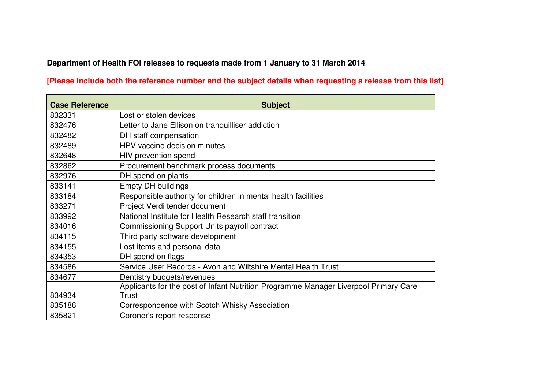## **Department of Health FOI releases to requests made from 1 January to 31 March 2014**

## **[Please include both the reference number and the subject details when requesting a release from this list]**

| <b>Case Reference</b> | <b>Subject</b>                                                                       |
|-----------------------|--------------------------------------------------------------------------------------|
| 832331                | Lost or stolen devices                                                               |
| 832476                | Letter to Jane Ellison on tranquilliser addiction                                    |
| 832482                | DH staff compensation                                                                |
| 832489                | HPV vaccine decision minutes                                                         |
| 832648                | HIV prevention spend                                                                 |
| 832862                | Procurement benchmark process documents                                              |
| 832976                | DH spend on plants                                                                   |
| 833141                | <b>Empty DH buildings</b>                                                            |
| 833184                | Responsible authority for children in mental health facilities                       |
| 833271                | Project Verdi tender document                                                        |
| 833992                | National Institute for Health Research staff transition                              |
| 834016                | Commissioning Support Units payroll contract                                         |
| 834115                | Third party software development                                                     |
| 834155                | Lost items and personal data                                                         |
| 834353                | DH spend on flags                                                                    |
| 834586                | Service User Records - Avon and Wiltshire Mental Health Trust                        |
| 834677                | Dentistry budgets/revenues                                                           |
|                       | Applicants for the post of Infant Nutrition Programme Manager Liverpool Primary Care |
| 834934                | Trust                                                                                |
| 835186                | Correspondence with Scotch Whisky Association                                        |
| 835821                | Coroner's report response                                                            |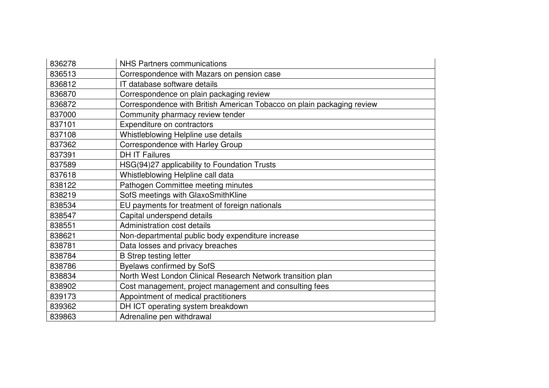| 836278 | <b>NHS Partners communications</b>                                     |
|--------|------------------------------------------------------------------------|
| 836513 | Correspondence with Mazars on pension case                             |
| 836812 | IT database software details                                           |
| 836870 | Correspondence on plain packaging review                               |
| 836872 | Correspondence with British American Tobacco on plain packaging review |
| 837000 | Community pharmacy review tender                                       |
| 837101 | Expenditure on contractors                                             |
| 837108 | Whistleblowing Helpline use details                                    |
| 837362 | Correspondence with Harley Group                                       |
| 837391 | <b>DH IT Failures</b>                                                  |
| 837589 | HSG(94)27 applicability to Foundation Trusts                           |
| 837618 | Whistleblowing Helpline call data                                      |
| 838122 | Pathogen Committee meeting minutes                                     |
| 838219 | SofS meetings with GlaxoSmithKline                                     |
| 838534 | EU payments for treatment of foreign nationals                         |
| 838547 | Capital underspend details                                             |
| 838551 | Administration cost details                                            |
| 838621 | Non-departmental public body expenditure increase                      |
| 838781 | Data losses and privacy breaches                                       |
| 838784 | <b>B</b> Strep testing letter                                          |
| 838786 | <b>Byelaws confirmed by SofS</b>                                       |
| 838834 | North West London Clinical Research Network transition plan            |
| 838902 | Cost management, project management and consulting fees                |
| 839173 | Appointment of medical practitioners                                   |
| 839362 | DH ICT operating system breakdown                                      |
| 839863 | Adrenaline pen withdrawal                                              |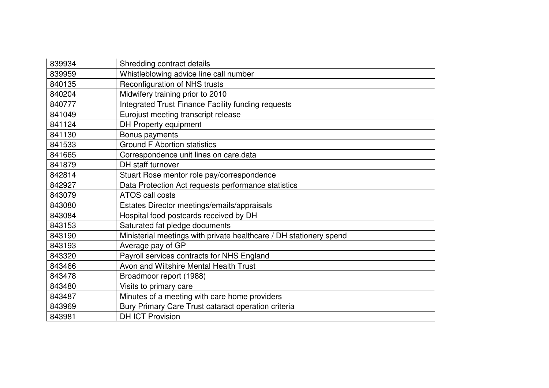| 839934 | Shredding contract details                                         |
|--------|--------------------------------------------------------------------|
| 839959 | Whistleblowing advice line call number                             |
| 840135 | Reconfiguration of NHS trusts                                      |
| 840204 | Midwifery training prior to 2010                                   |
| 840777 | Integrated Trust Finance Facility funding requests                 |
| 841049 | Eurojust meeting transcript release                                |
| 841124 | DH Property equipment                                              |
| 841130 | Bonus payments                                                     |
| 841533 | <b>Ground F Abortion statistics</b>                                |
| 841665 | Correspondence unit lines on care.data                             |
| 841879 | DH staff turnover                                                  |
| 842814 | Stuart Rose mentor role pay/correspondence                         |
| 842927 | Data Protection Act requests performance statistics                |
| 843079 | ATOS call costs                                                    |
| 843080 | Estates Director meetings/emails/appraisals                        |
| 843084 | Hospital food postcards received by DH                             |
| 843153 | Saturated fat pledge documents                                     |
| 843190 | Ministerial meetings with private healthcare / DH stationery spend |
| 843193 | Average pay of GP                                                  |
| 843320 | Payroll services contracts for NHS England                         |
| 843466 | Avon and Wiltshire Mental Health Trust                             |
| 843478 | Broadmoor report (1988)                                            |
| 843480 | Visits to primary care                                             |
| 843487 | Minutes of a meeting with care home providers                      |
| 843969 | Bury Primary Care Trust cataract operation criteria                |
| 843981 | <b>DH ICT Provision</b>                                            |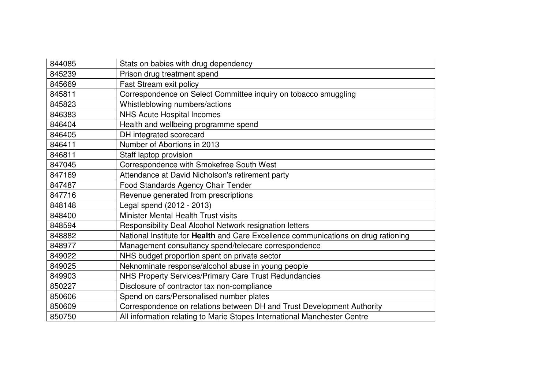| 844085 | Stats on babies with drug dependency                                               |
|--------|------------------------------------------------------------------------------------|
| 845239 | Prison drug treatment spend                                                        |
| 845669 | <b>Fast Stream exit policy</b>                                                     |
| 845811 | Correspondence on Select Committee inquiry on tobacco smuggling                    |
| 845823 | Whistleblowing numbers/actions                                                     |
| 846383 | <b>NHS Acute Hospital Incomes</b>                                                  |
| 846404 | Health and wellbeing programme spend                                               |
| 846405 | DH integrated scorecard                                                            |
| 846411 | Number of Abortions in 2013                                                        |
| 846811 | Staff laptop provision                                                             |
| 847045 | Correspondence with Smokefree South West                                           |
| 847169 | Attendance at David Nicholson's retirement party                                   |
| 847487 | Food Standards Agency Chair Tender                                                 |
| 847716 | Revenue generated from prescriptions                                               |
| 848148 | Legal spend (2012 - 2013)                                                          |
| 848400 | Minister Mental Health Trust visits                                                |
| 848594 | Responsibility Deal Alcohol Network resignation letters                            |
| 848882 | National Institute for Health and Care Excellence communications on drug rationing |
| 848977 | Management consultancy spend/telecare correspondence                               |
| 849022 | NHS budget proportion spent on private sector                                      |
| 849025 | Neknominate response/alcohol abuse in young people                                 |
| 849903 | NHS Property Services/Primary Care Trust Redundancies                              |
| 850227 | Disclosure of contractor tax non-compliance                                        |
| 850606 | Spend on cars/Personalised number plates                                           |
| 850609 | Correspondence on relations between DH and Trust Development Authority             |
| 850750 | All information relating to Marie Stopes International Manchester Centre           |